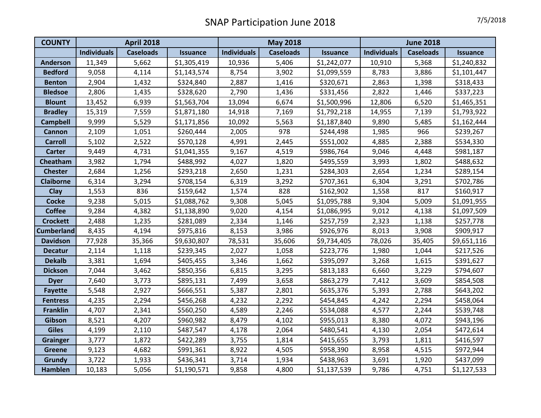| <b>COUNTY</b>     | <b>April 2018</b>  |                  |                 | <b>May 2018</b>    |                  |                 | <b>June 2018</b>   |                  |                 |
|-------------------|--------------------|------------------|-----------------|--------------------|------------------|-----------------|--------------------|------------------|-----------------|
|                   | <b>Individuals</b> | <b>Caseloads</b> | <b>Issuance</b> | <b>Individuals</b> | <b>Caseloads</b> | <b>Issuance</b> | <b>Individuals</b> | <b>Caseloads</b> | <b>Issuance</b> |
| <b>Anderson</b>   | 11,349             | 5,662            | \$1,305,419     | 10,936             | 5,406            | \$1,242,077     | 10,910             | 5,368            | \$1,240,832     |
| <b>Bedford</b>    | 9,058              | 4,114            | \$1,143,574     | 8,754              | 3,902            | \$1,099,559     | 8,783              | 3,886            | \$1,101,447     |
| <b>Benton</b>     | 2,904              | 1,432            | \$324,840       | 2,887              | 1,416            | \$320,671       | 2,863              | 1,398            | \$318,433       |
| <b>Bledsoe</b>    | 2,806              | 1,435            | \$328,620       | 2,790              | 1,436            | \$331,456       | 2,822              | 1,446            | \$337,223       |
| <b>Blount</b>     | 13,452             | 6,939            | \$1,563,704     | 13,094             | 6,674            | \$1,500,996     | 12,806             | 6,520            | \$1,465,351     |
| <b>Bradley</b>    | 15,319             | 7,559            | \$1,871,180     | 14,918             | 7,169            | \$1,792,218     | 14,955             | 7,139            | \$1,793,922     |
| <b>Campbell</b>   | 9,999              | 5,529            | \$1,171,856     | 10,092             | 5,563            | \$1,187,840     | 9,890              | 5,485            | \$1,162,444     |
| Cannon            | 2,109              | 1,051            | \$260,444       | 2,005              | 978              | \$244,498       | 1,985              | 966              | \$239,267       |
| <b>Carroll</b>    | 5,102              | 2,522            | \$570,128       | 4,991              | 2,445            | \$551,002       | 4,885              | 2,388            | \$534,330       |
| <b>Carter</b>     | 9,449              | 4,731            | \$1,041,355     | 9,167              | 4,519            | \$986,764       | 9,046              | 4,448            | \$981,187       |
| Cheatham          | 3,982              | 1,794            | \$488,992       | 4,027              | 1,820            | \$495,559       | 3,993              | 1,802            | \$488,632       |
| <b>Chester</b>    | 2,684              | 1,256            | \$293,218       | 2,650              | 1,231            | \$284,303       | 2,654              | 1,234            | \$289,154       |
| <b>Claiborne</b>  | 6,314              | 3,294            | \$708,154       | 6,319              | 3,292            | \$707,361       | 6,304              | 3,291            | \$702,786       |
| Clay              | 1,553              | 836              | \$159,642       | 1,574              | 828              | \$162,902       | 1,558              | 817              | \$160,917       |
| <b>Cocke</b>      | 9,238              | 5,015            | \$1,088,762     | 9,308              | 5,045            | \$1,095,788     | 9,304              | 5,009            | \$1,091,955     |
| <b>Coffee</b>     | 9,284              | 4,382            | \$1,138,890     | 9,020              | 4,154            | \$1,086,995     | 9,012              | 4,138            | \$1,097,509     |
| <b>Crockett</b>   | 2,488              | 1,235            | \$281,089       | 2,334              | 1,146            | \$257,759       | 2,323              | 1,138            | \$257,778       |
| <b>Cumberland</b> | 8,435              | 4,194            | \$975,816       | 8,153              | 3,986            | \$926,976       | 8,013              | 3,908            | \$909,917       |
| <b>Davidson</b>   | 77,928             | 35,366           | \$9,630,807     | 78,531             | 35,606           | \$9,734,405     | 78,026             | 35,405           | \$9,651,116     |
| <b>Decatur</b>    | 2,114              | 1,118            | \$239,345       | 2,027              | 1,058            | \$223,776       | 1,980              | 1,044            | \$217,526       |
| <b>Dekalb</b>     | 3,381              | 1,694            | \$405,455       | 3,346              | 1,662            | \$395,097       | 3,268              | 1,615            | \$391,627       |
| <b>Dickson</b>    | 7,044              | 3,462            | \$850,356       | 6,815              | 3,295            | \$813,183       | 6,660              | 3,229            | \$794,607       |
| <b>Dyer</b>       | 7,640              | 3,773            | \$895,131       | 7,499              | 3,658            | \$863,279       | 7,412              | 3,609            | \$854,508       |
| <b>Fayette</b>    | 5,548              | 2,927            | \$666,551       | 5,387              | 2,801            | \$635,376       | 5,393              | 2,788            | \$643,202       |
| <b>Fentress</b>   | 4,235              | 2,294            | \$456,268       | 4,232              | 2,292            | \$454,845       | 4,242              | 2,294            | \$458,064       |
| <b>Franklin</b>   | 4,707              | 2,341            | \$560,250       | 4,589              | 2,246            | \$534,088       | 4,577              | 2,244            | \$539,748       |
| Gibson            | 8,521              | 4,207            | \$960,982       | 8,479              | 4,102            | \$955,013       | 8,380              | 4,072            | \$943,196       |
| <b>Giles</b>      | 4,199              | 2,110            | \$487,547       | 4,178              | 2,064            | \$480,541       | 4,130              | 2,054            | \$472,614       |
| <b>Grainger</b>   | 3,777              | 1,872            | \$422,289       | 3,755              | 1,814            | \$415,655       | 3,793              | 1,811            | \$416,597       |
| <b>Greene</b>     | 9,123              | 4,682            | \$991,361       | 8,922              | 4,505            | \$958,390       | 8,958              | 4,515            | \$972,944       |
| Grundy            | 3,722              | 1,933            | \$436,341       | 3,714              | 1,934            | \$438,963       | 3,691              | 1,920            | \$437,099       |
| <b>Hamblen</b>    | 10,183             | 5,056            | \$1,190,571     | 9,858              | 4,800            | \$1,137,539     | 9,786              | 4,751            | \$1,127,533     |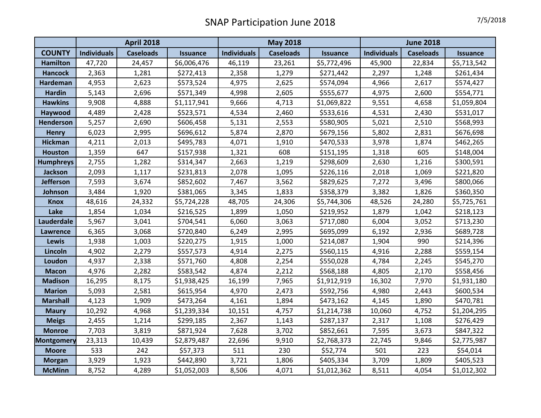|                   | <b>April 2018</b>  |                  |                 | <b>May 2018</b>    |                  |                 | <b>June 2018</b>   |                  |                 |
|-------------------|--------------------|------------------|-----------------|--------------------|------------------|-----------------|--------------------|------------------|-----------------|
| <b>COUNTY</b>     | <b>Individuals</b> | <b>Caseloads</b> | <b>Issuance</b> | <b>Individuals</b> | <b>Caseloads</b> | <b>Issuance</b> | <b>Individuals</b> | <b>Caseloads</b> | <b>Issuance</b> |
| <b>Hamilton</b>   | 47,720             | 24,457           | \$6,006,476     | 46,119             | 23,261           | \$5,772,496     | 45,900             | 22,834           | \$5,713,542     |
| <b>Hancock</b>    | 2,363              | 1,281            | \$272,413       | 2,358              | 1,279            | \$271,442       | 2,297              | 1,248            | \$261,434       |
| Hardeman          | 4,953              | 2,623            | \$573,524       | 4,975              | 2,625            | \$574,094       | 4,966              | 2,617            | \$574,427       |
| <b>Hardin</b>     | 5,143              | 2,696            | \$571,349       | 4,998              | 2,605            | \$555,677       | 4,975              | 2,600            | \$554,771       |
| <b>Hawkins</b>    | 9,908              | 4,888            | \$1,117,941     | 9,666              | 4,713            | \$1,069,822     | 9,551              | 4,658            | \$1,059,804     |
| Haywood           | 4,489              | 2,428            | \$523,571       | 4,534              | 2,460            | \$533,616       | 4,531              | 2,430            | \$531,017       |
| Henderson         | 5,257              | 2,690            | \$606,458       | 5,131              | 2,553            | \$580,905       | 5,021              | 2,510            | \$568,993       |
| <b>Henry</b>      | 6,023              | 2,995            | \$696,612       | 5,874              | 2,870            | \$679,156       | 5,802              | 2,831            | \$676,698       |
| <b>Hickman</b>    | 4,211              | 2,013            | \$495,783       | 4,071              | 1,910            | \$470,533       | 3,978              | 1,874            | \$462,265       |
| <b>Houston</b>    | 1,359              | 647              | \$157,938       | 1,321              | 608              | \$151,195       | 1,318              | 605              | \$148,004       |
| <b>Humphreys</b>  | 2,755              | 1,282            | \$314,347       | 2,663              | 1,219            | \$298,609       | 2,630              | 1,216            | \$300,591       |
| <b>Jackson</b>    | 2,093              | 1,117            | \$231,813       | 2,078              | 1,095            | \$226,116       | 2,018              | 1,069            | \$221,820       |
| <b>Jefferson</b>  | 7,593              | 3,674            | \$852,602       | 7,467              | 3,562            | \$829,625       | 7,272              | 3,496            | \$800,066       |
| Johnson           | 3,484              | 1,920            | \$381,065       | 3,345              | 1,833            | \$358,379       | 3,382              | 1,826            | \$360,350       |
| <b>Knox</b>       | 48,616             | 24,332           | \$5,724,228     | 48,705             | 24,306           | \$5,744,306     | 48,526             | 24,280           | \$5,725,761     |
| Lake              | 1,854              | 1,034            | \$216,525       | 1,899              | 1,050            | \$219,952       | 1,879              | 1,042            | \$218,123       |
| Lauderdale        | 5,967              | 3,041            | \$704,541       | 6,060              | 3,063            | \$717,080       | 6,004              | 3,052            | \$713,230       |
| <b>Lawrence</b>   | 6,365              | 3,068            | \$720,840       | 6,249              | 2,995            | \$695,099       | 6,192              | 2,936            | \$689,728       |
| <b>Lewis</b>      | 1,938              | 1,003            | \$220,275       | 1,915              | 1,000            | \$214,087       | 1,904              | 990              | \$214,396       |
| Lincoln           | 4,902              | 2,279            | \$557,573       | 4,914              | 2,275            | \$560,115       | 4,916              | 2,288            | \$559,154       |
| Loudon            | 4,937              | 2,338            | \$571,760       | 4,808              | 2,254            | \$550,028       | 4,784              | 2,245            | \$545,270       |
| <b>Macon</b>      | 4,976              | 2,282            | \$583,542       | 4,874              | 2,212            | \$568,188       | 4,805              | 2,170            | \$558,456       |
| <b>Madison</b>    | 16,295             | 8,175            | \$1,938,425     | 16,199             | 7,965            | \$1,912,919     | 16,302             | 7,970            | \$1,931,180     |
| <b>Marion</b>     | 5,093              | 2,581            | \$615,954       | 4,970              | 2,473            | \$592,756       | 4,980              | 2,443            | \$600,534       |
| <b>Marshall</b>   | 4,123              | 1,909            | \$473,264       | 4,161              | 1,894            | \$473,162       | 4,145              | 1,890            | \$470,781       |
| <b>Maury</b>      | 10,292             | 4,968            | \$1,239,334     | 10,151             | 4,757            | \$1,214,738     | 10,060             | 4,752            | \$1,204,295     |
| <b>Meigs</b>      | 2,455              | 1,214            | \$299,185       | 2,367              | 1,143            | \$287,137       | 2,317              | 1,108            | \$276,429       |
| <b>Monroe</b>     | 7,703              | 3,819            | \$871,924       | 7,628              | 3,702            | \$852,661       | 7,595              | 3,673            | \$847,322       |
| <b>Montgomery</b> | 23,313             | 10,439           | \$2,879,487     | 22,696             | 9,910            | \$2,768,373     | 22,745             | 9,846            | \$2,775,987     |
| <b>Moore</b>      | 533                | 242              | \$57,373        | 511                | 230              | \$52,774        | 501                | 223              | \$54,014        |
| <b>Morgan</b>     | 3,929              | 1,923            | \$442,890       | 3,721              | 1,806            | \$405,334       | 3,709              | 1,809            | \$405,523       |
| <b>McMinn</b>     | 8,752              | 4,289            | \$1,052,003     | 8,506              | 4,071            | \$1,012,362     | 8,511              | 4,054            | \$1,012,302     |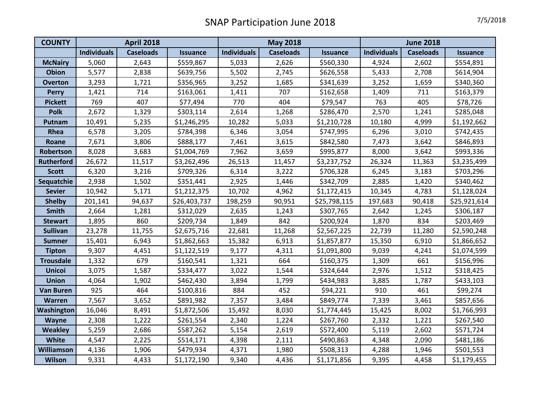| <b>COUNTY</b>     | <b>April 2018</b>  |                  |                 | <b>May 2018</b>    |                  |                 | <b>June 2018</b>   |                  |                 |
|-------------------|--------------------|------------------|-----------------|--------------------|------------------|-----------------|--------------------|------------------|-----------------|
|                   | <b>Individuals</b> | <b>Caseloads</b> | <b>Issuance</b> | <b>Individuals</b> | <b>Caseloads</b> | <b>Issuance</b> | <b>Individuals</b> | <b>Caseloads</b> | <b>Issuance</b> |
| <b>McNairy</b>    | 5,060              | 2,643            | \$559,867       | 5,033              | 2,626            | \$560,330       | 4,924              | 2,602            | \$554,891       |
| <b>Obion</b>      | 5,577              | 2,838            | \$639,756       | 5,502              | 2,745            | \$626,558       | 5,433              | 2,708            | \$614,904       |
| <b>Overton</b>    | 3,293              | 1,721            | \$356,965       | 3,252              | 1,685            | \$341,639       | 3,252              | 1,659            | \$340,360       |
| <b>Perry</b>      | 1,421              | 714              | \$163,061       | 1,411              | 707              | \$162,658       | 1,409              | 711              | \$163,379       |
| <b>Pickett</b>    | 769                | 407              | \$77,494        | 770                | 404              | \$79,547        | 763                | 405              | \$78,726        |
| <b>Polk</b>       | 2,672              | 1,329            | \$303,114       | 2,614              | 1,268            | \$286,470       | 2,570              | 1,241            | \$285,048       |
| Putnam            | 10,491             | 5,235            | \$1,246,295     | 10,282             | 5,033            | \$1,210,728     | 10,180             | 4,999            | \$1,192,662     |
| Rhea              | 6,578              | 3,205            | \$784,398       | 6,346              | 3,054            | \$747,995       | 6,296              | 3,010            | \$742,435       |
| Roane             | 7,671              | 3,806            | \$888,177       | 7,461              | 3,615            | \$842,580       | 7,473              | 3,642            | \$846,893       |
| Robertson         | 8,028              | 3,683            | \$1,004,769     | 7,962              | 3,659            | \$995,877       | 8,000              | 3,642            | \$993,336       |
| <b>Rutherford</b> | 26,672             | 11,517           | \$3,262,496     | 26,513             | 11,457           | \$3,237,752     | 26,324             | 11,363           | \$3,235,499     |
| <b>Scott</b>      | 6,320              | 3,216            | \$709,326       | 6,314              | 3,222            | \$706,328       | 6,245              | 3,183            | \$703,296       |
| Sequatchie        | 2,938              | 1,502            | \$351,441       | 2,925              | 1,446            | \$342,709       | 2,885              | 1,420            | \$340,462       |
| <b>Sevier</b>     | 10,942             | 5,171            | \$1,212,375     | 10,702             | 4,962            | \$1,172,415     | 10,345             | 4,783            | \$1,128,024     |
| <b>Shelby</b>     | 201,141            | 94,637           | \$26,403,737    | 198,259            | 90,951           | \$25,798,115    | 197,683            | 90,418           | \$25,921,614    |
| <b>Smith</b>      | 2,664              | 1,281            | \$312,029       | 2,635              | 1,243            | \$307,765       | 2,642              | 1,245            | \$306,187       |
| <b>Stewart</b>    | 1,895              | 860              | \$209,734       | 1,849              | 842              | \$200,924       | 1,870              | 834              | \$203,469       |
| <b>Sullivan</b>   | 23,278             | 11,755           | \$2,675,716     | 22,681             | 11,268           | \$2,567,225     | 22,739             | 11,280           | \$2,590,248     |
| <b>Sumner</b>     | 15,401             | 6,943            | \$1,862,663     | 15,382             | 6,913            | \$1,857,877     | 15,350             | 6,910            | \$1,866,652     |
| <b>Tipton</b>     | 9,307              | 4,451            | \$1,122,519     | 9,177              | 4,311            | \$1,091,800     | 9,039              | 4,241            | \$1,074,599     |
| <b>Trousdale</b>  | 1,332              | 679              | \$160,541       | 1,321              | 664              | \$160,375       | 1,309              | 661              | \$156,996       |
| <b>Unicoi</b>     | 3,075              | 1,587            | \$334,477       | 3,022              | 1,544            | \$324,644       | 2,976              | 1,512            | \$318,425       |
| <b>Union</b>      | 4,064              | 1,902            | \$462,430       | 3,894              | 1,799            | \$434,983       | 3,885              | 1,787            | \$433,103       |
| <b>Van Buren</b>  | 925                | 464              | \$100,816       | 884                | 452              | \$94,221        | 910                | 461              | \$99,274        |
| <b>Warren</b>     | 7,567              | 3,652            | \$891,982       | 7,357              | 3,484            | \$849,774       | 7,339              | 3,461            | \$857,656       |
| Washington        | 16,046             | 8,491            | \$1,872,506     | 15,492             | 8,030            | \$1,774,445     | 15,425             | 8,002            | \$1,766,993     |
| <b>Wayne</b>      | 2,308              | 1,222            | \$261,554       | 2,340              | 1,224            | \$267,760       | 2,332              | 1,221            | \$267,540       |
| <b>Weakley</b>    | 5,259              | 2,686            | \$587,262       | 5,154              | 2,619            | \$572,400       | 5,119              | 2,602            | \$571,724       |
| White             | 4,547              | 2,225            | \$514,171       | 4,398              | 2,111            | \$490,863       | 4,348              | 2,090            | \$481,186       |
| Williamson        | 4,136              | 1,906            | \$479,934       | 4,371              | 1,980            | \$508,313       | 4,288              | 1,946            | \$501,553       |
| <b>Wilson</b>     | 9,331              | 4,433            | \$1,172,190     | 9,340              | 4,436            | \$1,171,856     | 9,395              | 4,458            | \$1,179,455     |